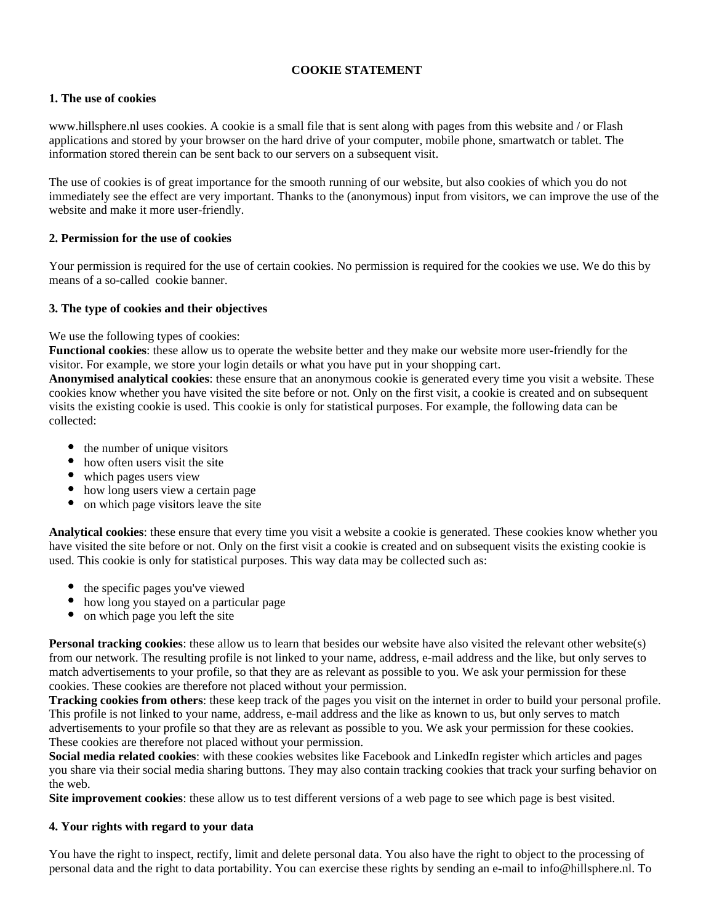## **COOKIE STATEMENT**

## **1. The use of cookies**

www.hillsphere.nl uses cookies. A cookie is a small file that is sent along with pages from this website and / or Flash applications and stored by your browser on the hard drive of your computer, mobile phone, smartwatch or tablet. The information stored therein can be sent back to our servers on a subsequent visit.

The use of cookies is of great importance for the smooth running of our website, but also cookies of which you do not immediately see the effect are very important. Thanks to the (anonymous) input from visitors, we can improve the use of the website and make it more user-friendly.

# **2. Permission for the use of cookies**

Your permission is required for the use of certain cookies. No permission is required for the cookies we use. We do this by means of a so-called cookie banner.

## **3. The type of cookies and their objectives**

We use the following types of cookies:

**Functional cookies**: these allow us to operate the website better and they make our website more user-friendly for the visitor. For example, we store your login details or what you have put in your shopping cart.

**Anonymised analytical cookies**: these ensure that an anonymous cookie is generated every time you visit a website. These cookies know whether you have visited the site before or not. Only on the first visit, a cookie is created and on subsequent visits the existing cookie is used. This cookie is only for statistical purposes. For example, the following data can be collected:

- the number of unique visitors
- how often users visit the site
- which pages users view
- how long users view a certain page
- on which page visitors leave the site

**Analytical cookies**: these ensure that every time you visit a website a cookie is generated. These cookies know whether you have visited the site before or not. Only on the first visit a cookie is created and on subsequent visits the existing cookie is used. This cookie is only for statistical purposes. This way data may be collected such as:

- the specific pages you've viewed
- how long you stayed on a particular page
- on which page you left the site

**Personal tracking cookies**: these allow us to learn that besides our website have also visited the relevant other website(s) from our network. The resulting profile is not linked to your name, address, e-mail address and the like, but only serves to match advertisements to your profile, so that they are as relevant as possible to you. We ask your permission for these cookies. These cookies are therefore not placed without your permission.

**Tracking cookies from others**: these keep track of the pages you visit on the internet in order to build your personal profile. This profile is not linked to your name, address, e-mail address and the like as known to us, but only serves to match advertisements to your profile so that they are as relevant as possible to you. We ask your permission for these cookies. These cookies are therefore not placed without your permission.

**Social media related cookies**: with these cookies websites like Facebook and LinkedIn register which articles and pages you share via their social media sharing buttons. They may also contain tracking cookies that track your surfing behavior on the web.

**Site improvement cookies**: these allow us to test different versions of a web page to see which page is best visited.

## **4. Your rights with regard to your data**

You have the right to inspect, rectify, limit and delete personal data. You also have the right to object to the processing of personal data and the right to data portability. You can exercise these rights by sending an e-mail to info@hillsphere.nl. To